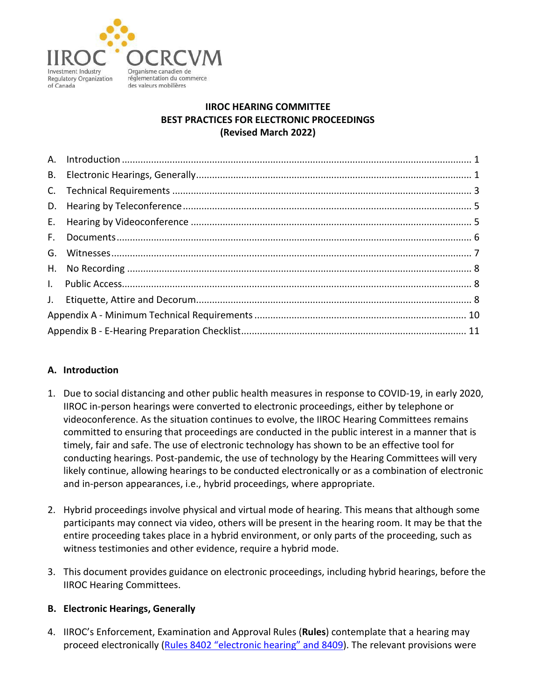

# **IIROC HEARING COMMITTEE BEST PRACTICES FOR ELECTRONIC PROCEEDINGS (Revised March 2022)**

## <span id="page-0-0"></span>**A. Introduction**

- 1. Due to social distancing and other public health measures in response to COVID-19, in early 2020, IIROC in-person hearings were converted to electronic proceedings, either by telephone or videoconference. As the situation continues to evolve, the IIROC Hearing Committees remains committed to ensuring that proceedings are conducted in the public interest in a manner that is timely, fair and safe. The use of electronic technology has shown to be an effective tool for conducting hearings. Post-pandemic, the use of technology by the Hearing Committees will very likely continue, allowing hearings to be conducted electronically or as a combination of electronic and in-person appearances, i.e., hybrid proceedings, where appropriate.
- 2. Hybrid proceedings involve physical and virtual mode of hearing. This means that although some participants may connect via video, others will be present in the hearing room. It may be that the entire proceeding takes place in a hybrid environment, or only parts of the proceeding, such as witness testimonies and other evidence, require a hybrid mode.
- 3. This document provides guidance on electronic proceedings, including hybrid hearings, before the IIROC Hearing Committees.

## <span id="page-0-1"></span>**B. Electronic Hearings, Generally**

4. IIROC's Enforcement, Examination and Approval Rules (**Rules**) contemplate that a hearing may proceed electronically [\(Rules 8402 "electronic hearing" and 8409\)](https://www.iiroc.ca/rules/8000). The relevant provisions were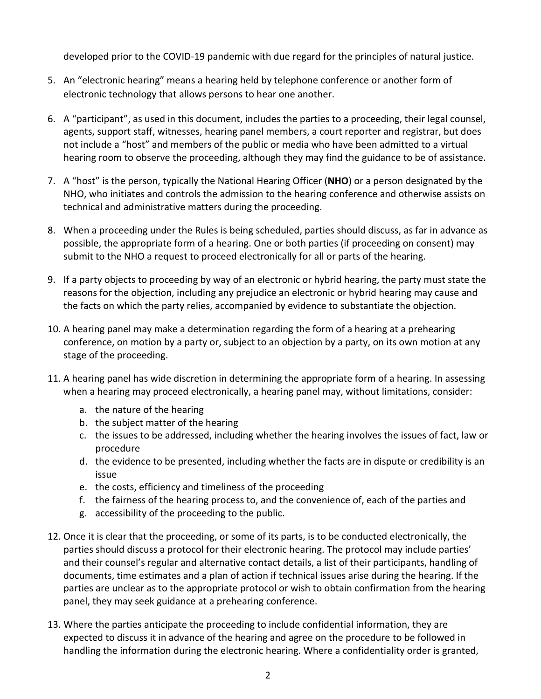developed prior to the COVID-19 pandemic with due regard for the principles of natural justice.

- 5. An "electronic hearing" means a hearing held by telephone conference or another form of electronic technology that allows persons to hear one another.
- 6. A "participant", as used in this document, includes the parties to a proceeding, their legal counsel, agents, support staff, witnesses, hearing panel members, a court reporter and registrar, but does not include a "host" and members of the public or media who have been admitted to a virtual hearing room to observe the proceeding, although they may find the guidance to be of assistance.
- 7. A "host" is the person, typically the National Hearing Officer (**NHO**) or a person designated by the NHO, who initiates and controls the admission to the hearing conference and otherwise assists on technical and administrative matters during the proceeding.
- 8. When a proceeding under the Rules is being scheduled, parties should discuss, as far in advance as possible, the appropriate form of a hearing. One or both parties (if proceeding on consent) may submit to the NHO a request to proceed electronically for all or parts of the hearing.
- 9. If a party objects to proceeding by way of an electronic or hybrid hearing, the party must state the reasons for the objection, including any prejudice an electronic or hybrid hearing may cause and the facts on which the party relies, accompanied by evidence to substantiate the objection.
- 10. A hearing panel may make a determination regarding the form of a hearing at a prehearing conference, on motion by a party or, subject to an objection by a party, on its own motion at any stage of the proceeding.
- 11. A hearing panel has wide discretion in determining the appropriate form of a hearing. In assessing when a hearing may proceed electronically, a hearing panel may, without limitations, consider:
	- a. the nature of the hearing
	- b. the subject matter of the hearing
	- c. the issues to be addressed, including whether the hearing involves the issues of fact, law or procedure
	- d. the evidence to be presented, including whether the facts are in dispute or credibility is an issue
	- e. the costs, efficiency and timeliness of the proceeding
	- f. the fairness of the hearing process to, and the convenience of, each of the parties and
	- g. accessibility of the proceeding to the public.
- 12. Once it is clear that the proceeding, or some of its parts, is to be conducted electronically, the parties should discuss a protocol for their electronic hearing. The protocol may include parties' and their counsel's regular and alternative contact details, a list of their participants, handling of documents, time estimates and a plan of action if technical issues arise during the hearing. If the parties are unclear as to the appropriate protocol or wish to obtain confirmation from the hearing panel, they may seek guidance at a prehearing conference.
- 13. Where the parties anticipate the proceeding to include confidential information, they are expected to discuss it in advance of the hearing and agree on the procedure to be followed in handling the information during the electronic hearing. Where a confidentiality order is granted,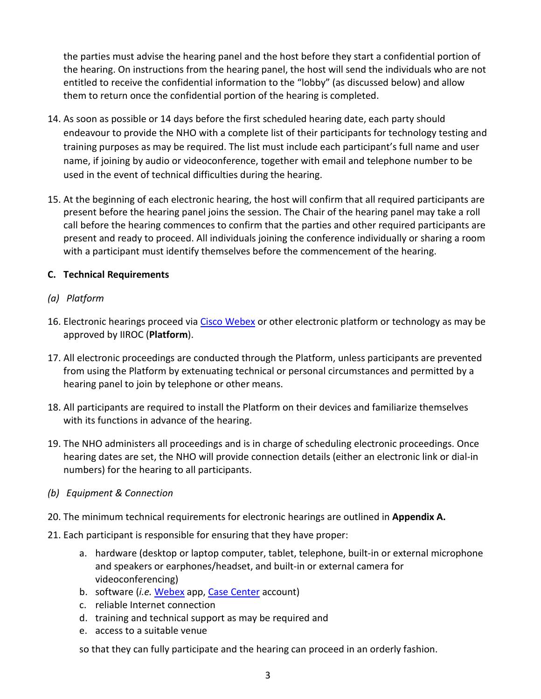the parties must advise the hearing panel and the host before they start a confidential portion of the hearing. On instructions from the hearing panel, the host will send the individuals who are not entitled to receive the confidential information to the "lobby" (as discussed below) and allow them to return once the confidential portion of the hearing is completed.

- 14. As soon as possible or 14 days before the first scheduled hearing date, each party should endeavour to provide the NHO with a complete list of their participants for technology testing and training purposes as may be required. The list must include each participant's full name and user name, if joining by audio or videoconference, together with email and telephone number to be used in the event of technical difficulties during the hearing.
- 15. At the beginning of each electronic hearing, the host will confirm that all required participants are present before the hearing panel joins the session. The Chair of the hearing panel may take a roll call before the hearing commences to confirm that the parties and other required participants are present and ready to proceed. All individuals joining the conference individually or sharing a room with a participant must identify themselves before the commencement of the hearing.

# <span id="page-2-0"></span>**C. Technical Requirements**

- *(a) Platform*
- 16. Electronic hearings proceed vi[a Cisco Webex](https://www.webex.com/) or other electronic platform or technology as may be approved by IIROC (**Platform**).
- 17. All electronic proceedings are conducted through the Platform, unless participants are prevented from using the Platform by extenuating technical or personal circumstances and permitted by a hearing panel to join by telephone or other means.
- 18. All participants are required to install the Platform on their devices and familiarize themselves with its functions in advance of the hearing.
- 19. The NHO administers all proceedings and is in charge of scheduling electronic proceedings. Once hearing dates are set, the NHO will provide connection details (either an electronic link or dial-in numbers) for the hearing to all participants.
- *(b) Equipment & Connection*
- 20. The minimum technical requirements for electronic hearings are outlined in **Appendix A.**
- 21. Each participant is responsible for ensuring that they have proper:
	- a. hardware (desktop or laptop computer, tablet, telephone, built-in or external microphone and speakers or earphones/headset, and built-in or external camera for videoconferencing)
	- b. software (*i.e.* [Webex](https://www.webex.com/) app, [Case Center](https://canada.caselines.com/Account/LogOn) account)
	- c. reliable Internet connection
	- d. training and technical support as may be required and
	- e. access to a suitable venue

so that they can fully participate and the hearing can proceed in an orderly fashion.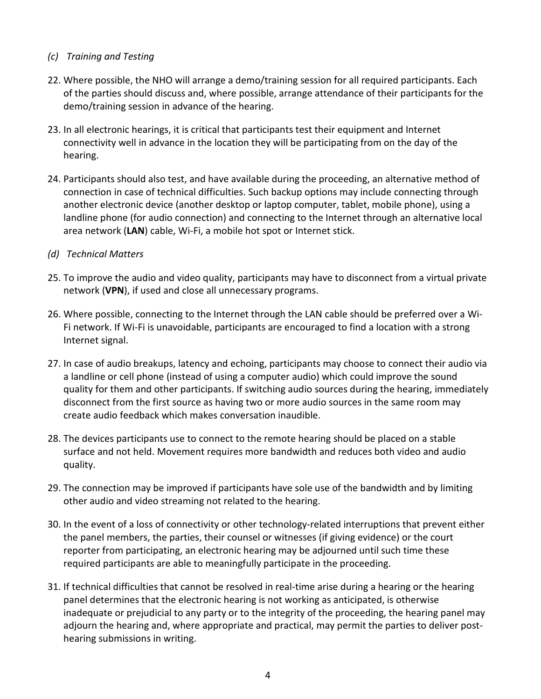#### *(c) Training and Testing*

- 22. Where possible, the NHO will arrange a demo/training session for all required participants. Each of the parties should discuss and, where possible, arrange attendance of their participants for the demo/training session in advance of the hearing.
- 23. In all electronic hearings, it is critical that participants test their equipment and Internet connectivity well in advance in the location they will be participating from on the day of the hearing.
- 24. Participants should also test, and have available during the proceeding, an alternative method of connection in case of technical difficulties. Such backup options may include connecting through another electronic device (another desktop or laptop computer, tablet, mobile phone), using a landline phone (for audio connection) and connecting to the Internet through an alternative local area network (**LAN**) cable, Wi-Fi, a mobile hot spot or Internet stick.
- *(d) Technical Matters*
- 25. To improve the audio and video quality, participants may have to disconnect from a virtual private network (**VPN**), if used and close all unnecessary programs.
- 26. Where possible, connecting to the Internet through the LAN cable should be preferred over a Wi-Fi network. If Wi-Fi is unavoidable, participants are encouraged to find a location with a strong Internet signal.
- 27. In case of audio breakups, latency and echoing, participants may choose to connect their audio via a landline or cell phone (instead of using a computer audio) which could improve the sound quality for them and other participants. If switching audio sources during the hearing, immediately disconnect from the first source as having two or more audio sources in the same room may create audio feedback which makes conversation inaudible.
- 28. The devices participants use to connect to the remote hearing should be placed on a stable surface and not held. Movement requires more bandwidth and reduces both video and audio quality.
- 29. The connection may be improved if participants have sole use of the bandwidth and by limiting other audio and video streaming not related to the hearing.
- 30. In the event of a loss of connectivity or other technology-related interruptions that prevent either the panel members, the parties, their counsel or witnesses (if giving evidence) or the court reporter from participating, an electronic hearing may be adjourned until such time these required participants are able to meaningfully participate in the proceeding.
- 31. If technical difficulties that cannot be resolved in real-time arise during a hearing or the hearing panel determines that the electronic hearing is not working as anticipated, is otherwise inadequate or prejudicial to any party or to the integrity of the proceeding, the hearing panel may adjourn the hearing and, where appropriate and practical, may permit the parties to deliver posthearing submissions in writing.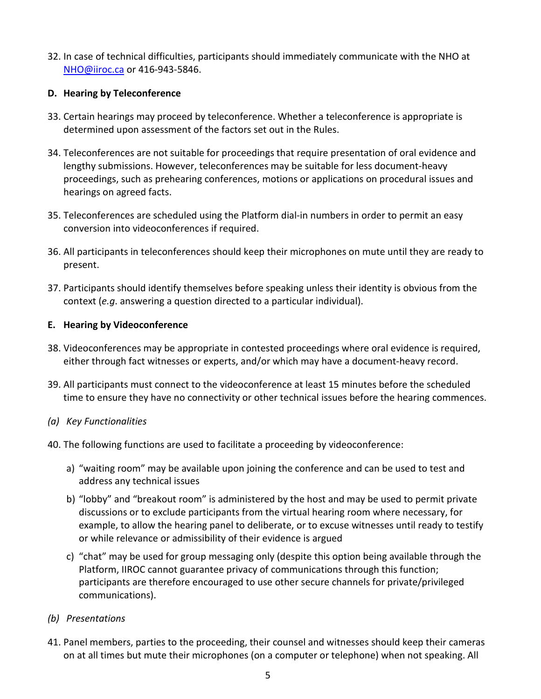32. In case of technical difficulties, participants should immediately communicate with the NHO at [NHO@iiroc.ca](mailto:NHO@iiroc.ca) or 416-943-5846.

#### <span id="page-4-0"></span>**D. Hearing by Teleconference**

- 33. Certain hearings may proceed by teleconference. Whether a teleconference is appropriate is determined upon assessment of the factors set out in the Rules.
- 34. Teleconferences are not suitable for proceedings that require presentation of oral evidence and lengthy submissions. However, teleconferences may be suitable for less document-heavy proceedings, such as prehearing conferences, motions or applications on procedural issues and hearings on agreed facts.
- 35. Teleconferences are scheduled using the Platform dial-in numbers in order to permit an easy conversion into videoconferences if required.
- 36. All participants in teleconferences should keep their microphones on mute until they are ready to present.
- 37. Participants should identify themselves before speaking unless their identity is obvious from the context (*e.g*. answering a question directed to a particular individual).

#### <span id="page-4-1"></span>**E. Hearing by Videoconference**

- 38. Videoconferences may be appropriate in contested proceedings where oral evidence is required, either through fact witnesses or experts, and/or which may have a document-heavy record.
- 39. All participants must connect to the videoconference at least 15 minutes before the scheduled time to ensure they have no connectivity or other technical issues before the hearing commences.

## *(a) Key Functionalities*

- 40. The following functions are used to facilitate a proceeding by videoconference:
	- a) "waiting room" may be available upon joining the conference and can be used to test and address any technical issues
	- b) "lobby" and "breakout room" is administered by the host and may be used to permit private discussions or to exclude participants from the virtual hearing room where necessary, for example, to allow the hearing panel to deliberate, or to excuse witnesses until ready to testify or while relevance or admissibility of their evidence is argued
	- c) "chat" may be used for group messaging only (despite this option being available through the Platform, IIROC cannot guarantee privacy of communications through this function; participants are therefore encouraged to use other secure channels for private/privileged communications).
- *(b) Presentations*
- 41. Panel members, parties to the proceeding, their counsel and witnesses should keep their cameras on at all times but mute their microphones (on a computer or telephone) when not speaking. All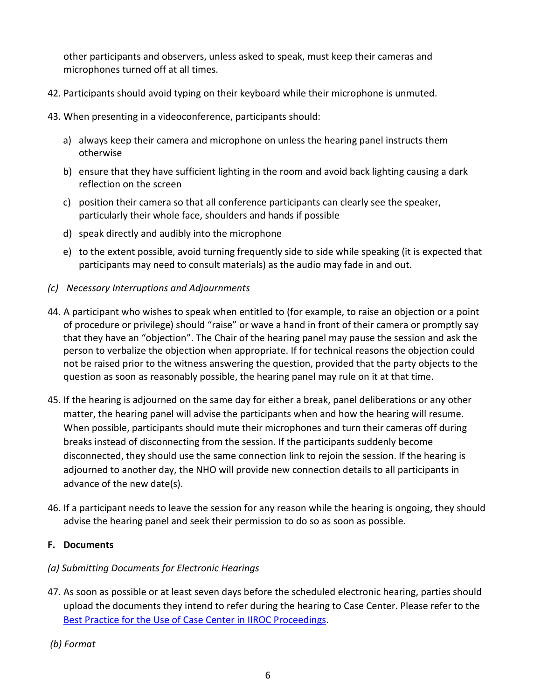other participants and observers, unless asked to speak, must keep their cameras and microphones turned off at all times.

- 42. Participants should avoid typing on their keyboard while their microphone is unmuted.
- 43. When presenting in a videoconference, participants should:
	- a) always keep their camera and microphone on unless the hearing panel instructs them otherwise
	- b) ensure that they have sufficient lighting in the room and avoid back lighting causing a dark reflection on the screen
	- c) position their camera so that all conference participants can clearly see the speaker, particularly their whole face, shoulders and hands if possible
	- d) speak directly and audibly into the microphone
	- e) to the extent possible, avoid turning frequently side to side while speaking (it is expected that participants may need to consult materials) as the audio may fade in and out.
- *(c) Necessary Interruptions and Adjournments*
- 44. A participant who wishes to speak when entitled to (for example, to raise an objection or a point of procedure or privilege) should "raise" or wave a hand in front of their camera or promptly say that they have an "objection". The Chair of the hearing panel may pause the session and ask the person to verbalize the objection when appropriate. If for technical reasons the objection could not be raised prior to the witness answering the question, provided that the party objects to the question as soon as reasonably possible, the hearing panel may rule on it at that time.
- 45. If the hearing is adjourned on the same day for either a break, panel deliberations or any other matter, the hearing panel will advise the participants when and how the hearing will resume. When possible, participants should mute their microphones and turn their cameras off during breaks instead of disconnecting from the session. If the participants suddenly become disconnected, they should use the same connection link to rejoin the session. If the hearing is adjourned to another day, the NHO will provide new connection details to all participants in advance of the new date(s).
- 46. If a participant needs to leave the session for any reason while the hearing is ongoing, they should advise the hearing panel and seek their permission to do so as soon as possible.

## <span id="page-5-0"></span>**F. Documents**

## *(a) Submitting Documents for Electronic Hearings*

- 47. As soon as possible or at least seven days before the scheduled electronic hearing, parties should upload the documents they intend to refer during the hearing to Case Center. Please refer to the [Best Practice for the Use of Case Center in IIROC Proceedings.](https://www.iiroc.ca/rules-and-enforcement/enforcement/best-practices-use-case-center-iiroc-proceedings-march-2022)
- *(b) Format*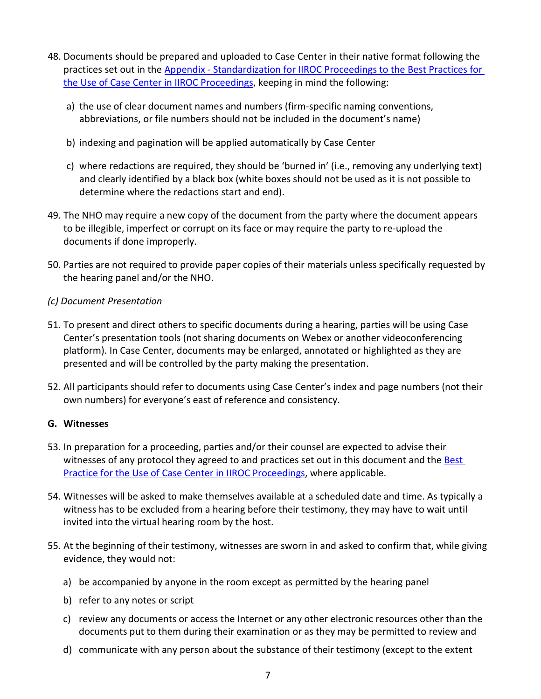- 48. Documents should be prepared and uploaded to Case Center in their native format following the practices set out in the Appendix - Standardization for IIROC Proceedings to the Best Practices for [the Use of Case Center in IIROC Proceedings, keeping in mind the following:](https://www.iiroc.ca/rules-and-enforcement/enforcement/best-practices-use-case-center-iiroc-proceedings-march-2022#3925188384-1326631585)
	- a) the use of clear document names and numbers (firm-specific naming conventions, abbreviations, or file numbers should not be included in the document's name)
	- b) indexing and pagination will be applied automatically by Case Center
	- c) where redactions are required, they should be 'burned in' (i.e., removing any underlying text) and clearly identified by a black box (white boxes should not be used as it is not possible to determine where the redactions start and end).
- 49. The NHO may require a new copy of the document from the party where the document appears to be illegible, imperfect or corrupt on its face or may require the party to re-upload the documents if done improperly.
- 50. Parties are not required to provide paper copies of their materials unless specifically requested by the hearing panel and/or the NHO.
- *(c) Document Presentation*
- 51. To present and direct others to specific documents during a hearing, parties will be using Case Center's presentation tools (not sharing documents on Webex or another videoconferencing platform). In Case Center, documents may be enlarged, annotated or highlighted as they are presented and will be controlled by the party making the presentation.
- 52. All participants should refer to documents using Case Center's index and page numbers (not their own numbers) for everyone's east of reference and consistency.

#### <span id="page-6-0"></span>**G. Witnesses**

- 53. In preparation for a proceeding, parties and/or their counsel are expected to advise their [witnesses of any protocol they agreed to and practices set out in this document](https://www.iiroc.ca/rules-and-enforcement/enforcement/best-practices-use-case-center-iiroc-proceedings-march-2022) and the Best Practice for the Use of Case Center in IIROC Proceedings, where applicable.
- 54. Witnesses will be asked to make themselves available at a scheduled date and time. As typically a witness has to be excluded from a hearing before their testimony, they may have to wait until invited into the virtual hearing room by the host.
- 55. At the beginning of their testimony, witnesses are sworn in and asked to confirm that, while giving evidence, they would not:
	- a) be accompanied by anyone in the room except as permitted by the hearing panel
	- b) refer to any notes or script
	- c) review any documents or access the Internet or any other electronic resources other than the documents put to them during their examination or as they may be permitted to review and
	- d) communicate with any person about the substance of their testimony (except to the extent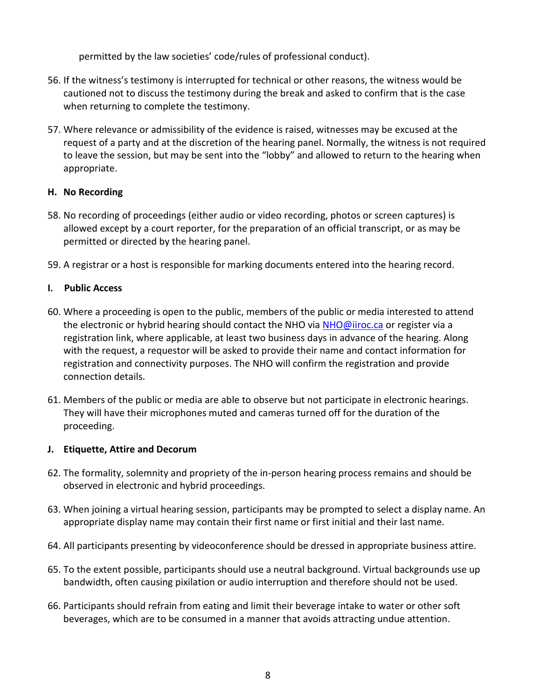permitted by the law societies' code/rules of professional conduct).

- 56. If the witness's testimony is interrupted for technical or other reasons, the witness would be cautioned not to discuss the testimony during the break and asked to confirm that is the case when returning to complete the testimony.
- 57. Where relevance or admissibility of the evidence is raised, witnesses may be excused at the request of a party and at the discretion of the hearing panel. Normally, the witness is not required to leave the session, but may be sent into the "lobby" and allowed to return to the hearing when appropriate.

# <span id="page-7-0"></span>**H. No Recording**

- 58. No recording of proceedings (either audio or video recording, photos or screen captures) is allowed except by a court reporter, for the preparation of an official transcript, or as may be permitted or directed by the hearing panel.
- 59. A registrar or a host is responsible for marking documents entered into the hearing record.

# <span id="page-7-1"></span>**I. Public Access**

- 60. Where a proceeding is open to the public, members of the public or media interested to attend the electronic or hybrid hearing should contact the NHO via [NHO@iiroc.ca](mailto:NHO@iiroc.ca) or register via a registration link, where applicable, at least two business days in advance of the hearing. Along with the request, a requestor will be asked to provide their name and contact information for registration and connectivity purposes. The NHO will confirm the registration and provide connection details.
- 61. Members of the public or media are able to observe but not participate in electronic hearings. They will have their microphones muted and cameras turned off for the duration of the proceeding.

## <span id="page-7-2"></span>**J. Etiquette, Attire and Decorum**

- 62. The formality, solemnity and propriety of the in-person hearing process remains and should be observed in electronic and hybrid proceedings.
- 63. When joining a virtual hearing session, participants may be prompted to select a display name. An appropriate display name may contain their first name or first initial and their last name.
- 64. All participants presenting by videoconference should be dressed in appropriate business attire.
- 65. To the extent possible, participants should use a neutral background. Virtual backgrounds use up bandwidth, often causing pixilation or audio interruption and therefore should not be used.
- 66. Participants should refrain from eating and limit their beverage intake to water or other soft beverages, which are to be consumed in a manner that avoids attracting undue attention.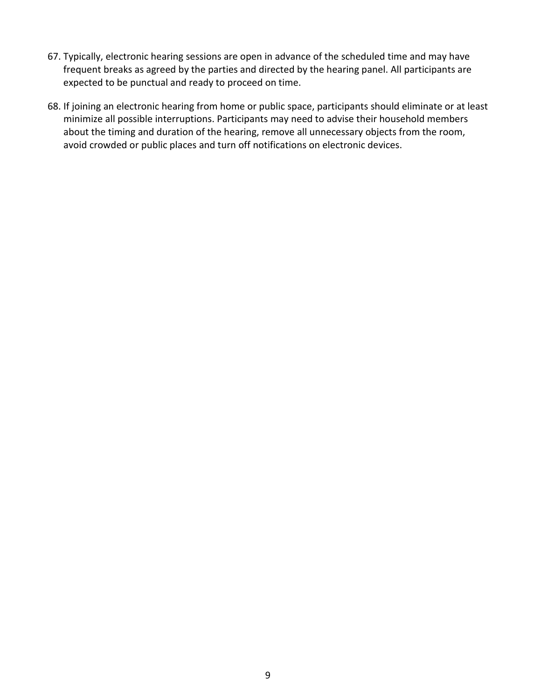- 67. Typically, electronic hearing sessions are open in advance of the scheduled time and may have frequent breaks as agreed by the parties and directed by the hearing panel. All participants are expected to be punctual and ready to proceed on time.
- 68. If joining an electronic hearing from home or public space, participants should eliminate or at least minimize all possible interruptions. Participants may need to advise their household members about the timing and duration of the hearing, remove all unnecessary objects from the room, avoid crowded or public places and turn off notifications on electronic devices.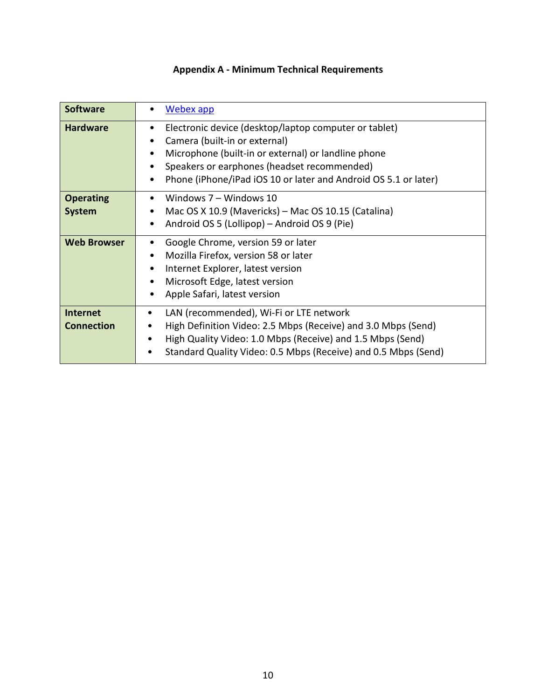# **Appendix A - Minimum Technical Requirements**

<span id="page-9-0"></span>

| <b>Software</b>                      | Webex app                                                                                                                                                                                                                                                                    |
|--------------------------------------|------------------------------------------------------------------------------------------------------------------------------------------------------------------------------------------------------------------------------------------------------------------------------|
| <b>Hardware</b>                      | Electronic device (desktop/laptop computer or tablet)<br>$\bullet$<br>Camera (built-in or external)<br>Microphone (built-in or external) or landline phone<br>Speakers or earphones (headset recommended)<br>Phone (iPhone/iPad iOS 10 or later and Android OS 5.1 or later) |
| <b>Operating</b><br><b>System</b>    | Windows 7 - Windows 10<br>Mac OS X 10.9 (Mavericks) – Mac OS 10.15 (Catalina)<br>Android OS 5 (Lollipop) - Android OS 9 (Pie)                                                                                                                                                |
| <b>Web Browser</b>                   | Google Chrome, version 59 or later<br>Mozilla Firefox, version 58 or later<br>Internet Explorer, latest version<br>$\bullet$<br>Microsoft Edge, latest version<br>$\bullet$<br>Apple Safari, latest version                                                                  |
| <b>Internet</b><br><b>Connection</b> | LAN (recommended), Wi-Fi or LTE network<br>High Definition Video: 2.5 Mbps (Receive) and 3.0 Mbps (Send)<br>High Quality Video: 1.0 Mbps (Receive) and 1.5 Mbps (Send)<br>Standard Quality Video: 0.5 Mbps (Receive) and 0.5 Mbps (Send)                                     |